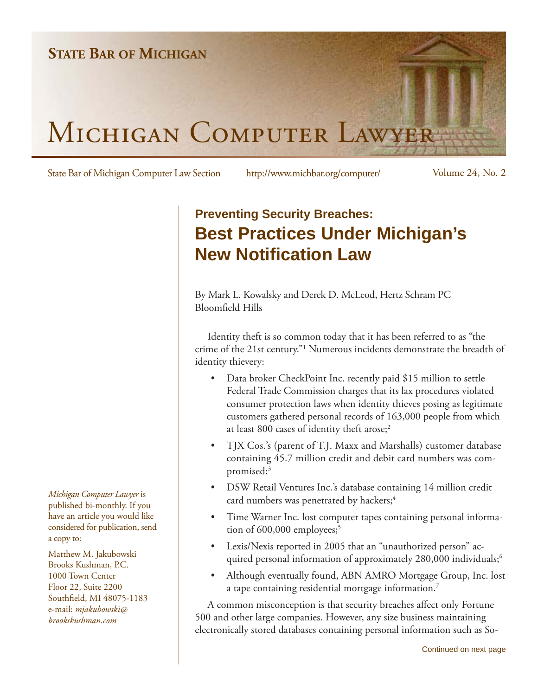

State Bar of Michigan Computer Law Section http://www.michbar.org/computer/ Volume 24, No. 2

## **Preventing Security Breaches: Best Practices Under Michigan's New Notification Law**

By Mark L. Kowalsky and Derek D. McLeod, Hertz Schram PC Bloomfield Hills

Identity theft is so common today that it has been referred to as "the crime of the 21st century."1 Numerous incidents demonstrate the breadth of identity thievery:

- Data broker CheckPoint Inc. recently paid \$15 million to settle Federal Trade Commission charges that its lax procedures violated consumer protection laws when identity thieves posing as legitimate customers gathered personal records of 163,000 people from which at least 800 cases of identity theft arose;<sup>2</sup> •
- TJX Cos.'s (parent of T.J. Maxx and Marshalls) customer database containing 45.7 million credit and debit card numbers was compromised; $3$ •
- DSW Retail Ventures Inc.'s database containing 14 million credit card numbers was penetrated by hackers;<sup>4</sup> •
- Time Warner Inc. lost computer tapes containing personal information of  $600,000$  employees;<sup>5</sup> •
- Lexis/Nexis reported in 2005 that an "unauthorized person" acquired personal information of approximately 280,000 individuals;<sup>6</sup> •
- Although eventually found, ABN AMRO Mortgage Group, Inc. lost a tape containing residential mortgage information.7 •

A common misconception is that security breaches affect only Fortune 500 and other large companies. However, any size business maintaining electronically stored databases containing personal information such as So-

*Michigan Computer Lawyer* is published bi-monthly. If you have an article you would like considered for publication, send a copy to:

Matthew M. Jakubowski Brooks Kushman, P.C. 1000 Town Center Floor 22, Suite 2200 Southfield, MI 48075-1183 e-mail: *mjakubowski@ brookskushman.com*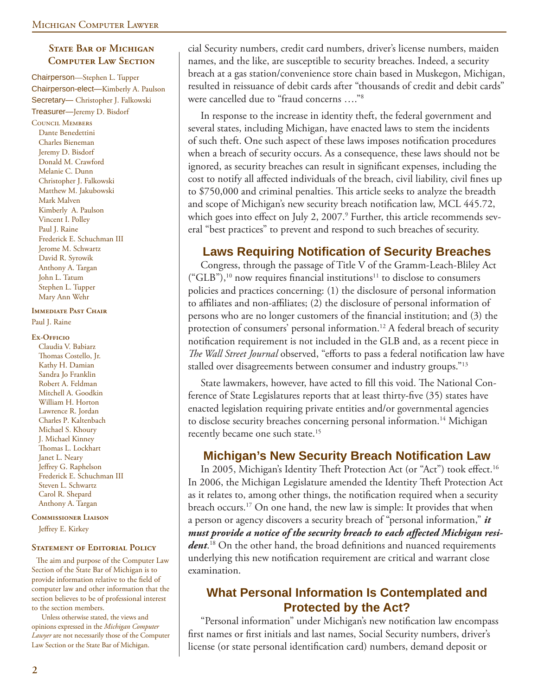#### **STATE BAR OF MICHIGAN Computer Law Section**

Chairperson—Stephen L. Tupper Chairperson-elect—Kimberly A. Paulson Secretary— Christopher J. Falkowski Treasurer—Jeremy D. Bisdorf

Council Members Dante Benedettini Charles Bieneman Jeremy D. Bisdorf Donald M. Crawford Melanie C. Dunn Christopher J. Falkowski Matthew M. Jakubowski Mark Malven Kimberly A. Paulson Vincent I. Polley Paul J. Raine Frederick E. Schuchman III Jerome M. Schwartz David R. Syrowik Anthony A. Targan John L. Tatum Stephen L. Tupper Mary Ann Wehr

#### **IMMEDIATE PAST CHAIR**

Paul J. Raine

#### **Ex-Officio**

Claudia V. Babiarz Thomas Costello, Jr. Kathy H. Damian Sandra Jo Franklin Robert A. Feldman Mitchell A. Goodkin William H. Horton Lawrence R. Jordan Charles P. Kaltenbach Michael S. Khoury J. Michael Kinney Thomas L. Lockhart Janet L. Neary Jeffrey G. Raphelson Frederick E. Schuchman III Steven L. Schwartz Carol R. Shepard Anthony A. Targan

**Commissioner Liaison**

Jeffrey E. Kirkey

#### **STATEMENT OF EDITORIAL POLICY**

The aim and purpose of the Computer Law Section of the State Bar of Michigan is to provide information relative to the field of computer law and other information that the section believes to be of professional interest to the section members.

 Unless otherwise stated, the views and opinions expressed in the *Michigan Computer Lawyer* are not necessarily those of the Computer Law Section or the State Bar of Michigan.

cial Security numbers, credit card numbers, driver's license numbers, maiden names, and the like, are susceptible to security breaches. Indeed, a security breach at a gas station/convenience store chain based in Muskegon, Michigan, resulted in reissuance of debit cards after "thousands of credit and debit cards" were cancelled due to "fraud concerns …."8

In response to the increase in identity theft, the federal government and several states, including Michigan, have enacted laws to stem the incidents of such theft. One such aspect of these laws imposes notification procedures when a breach of security occurs. As a consequence, these laws should not be ignored, as security breaches can result in significant expenses, including the cost to notify all affected individuals of the breach, civil liability, civil fines up to \$750,000 and criminal penalties. This article seeks to analyze the breadth and scope of Michigan's new security breach notification law, MCL 445.72, which goes into effect on July 2, 2007.<sup>9</sup> Further, this article recommends several "best practices" to prevent and respond to such breaches of security.

#### **Laws Requiring Notification of Security Breaches**

Congress, through the passage of Title V of the Gramm-Leach-Bliley Act  $("GLB")$ ,<sup>10</sup> now requires financial institutions<sup>11</sup> to disclose to consumers policies and practices concerning: (1) the disclosure of personal information to affiliates and non-affiliates; (2) the disclosure of personal information of persons who are no longer customers of the financial institution; and (3) the protection of consumers' personal information.<sup>12</sup> A federal breach of security notification requirement is not included in the GLB and, as a recent piece in *The Wall Street Journal* observed, "efforts to pass a federal notification law have stalled over disagreements between consumer and industry groups."<sup>13</sup>

State lawmakers, however, have acted to fill this void. The National Conference of State Legislatures reports that at least thirty-five (35) states have enacted legislation requiring private entities and/or governmental agencies to disclose security breaches concerning personal information.<sup>14</sup> Michigan recently became one such state.<sup>15</sup>

#### **Michigan's New Security Breach Notification Law**

In 2005, Michigan's Identity Theft Protection Act (or "Act") took effect.<sup>16</sup> In 2006, the Michigan Legislature amended the Identity Theft Protection Act as it relates to, among other things, the notification required when a security breach occurs.17 On one hand, the new law is simple: It provides that when a person or agency discovers a security breach of "personal information," *it*  must provide a notice of the security breach to each affected Michigan resi*dent*.<sup>18</sup> On the other hand, the broad definitions and nuanced requirements underlying this new notification requirement are critical and warrant close examination.

#### **What Personal Information Is Contemplated and Protected by the Act?**

"Personal information" under Michigan's new notification law encompass first names or first initials and last names, Social Security numbers, driver's license (or state personal identification card) numbers, demand deposit or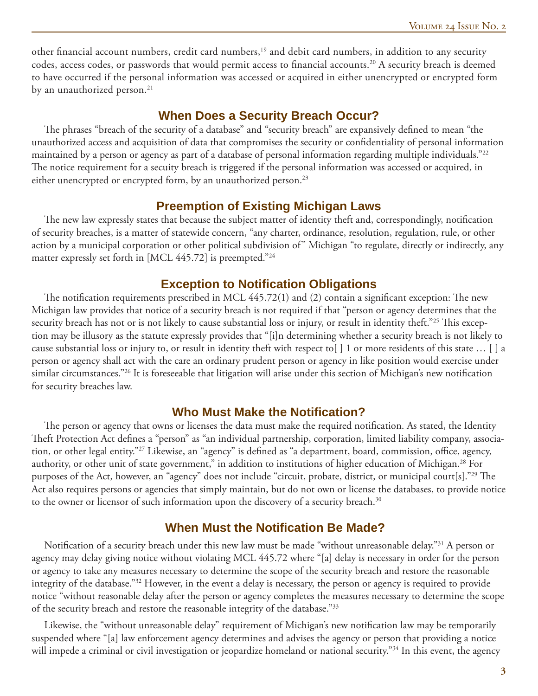other financial account numbers, credit card numbers,<sup>19</sup> and debit card numbers, in addition to any security codes, access codes, or passwords that would permit access to financial accounts.<sup>20</sup> A security breach is deemed to have occurred if the personal information was accessed or acquired in either unencrypted or encrypted form by an unauthorized person.<sup>21</sup>

#### **When Does a Security Breach Occur?**

The phrases "breach of the security of a database" and "security breach" are expansively defined to mean "the unauthorized access and acquisition of data that compromises the security or confidentiality of personal information maintained by a person or agency as part of a database of personal information regarding multiple individuals."22 The notice requirement for a secuity breach is triggered if the personal information was accessed or acquired, in either unencrypted or encrypted form, by an unauthorized person.<sup>23</sup>

#### **Preemption of Existing Michigan Laws**

The new law expressly states that because the subject matter of identity theft and, correspondingly, notification of security breaches, is a matter of statewide concern, "any charter, ordinance, resolution, regulation, rule, or other action by a municipal corporation or other political subdivision of" Michigan "to regulate, directly or indirectly, any matter expressly set forth in [MCL 445.72] is preempted."24

#### **Exception to Notification Obligations**

The notification requirements prescribed in MCL  $445.72(1)$  and  $(2)$  contain a significant exception: The new Michigan law provides that notice of a security breach is not required if that "person or agency determines that the security breach has not or is not likely to cause substantial loss or injury, or result in identity theft."<sup>25</sup> This exception may be illusory as the statute expressly provides that "[i]n determining whether a security breach is not likely to cause substantial loss or injury to, or result in identity theft with respect to[ ] 1 or more residents of this state … [ ] a person or agency shall act with the care an ordinary prudent person or agency in like position would exercise under similar circumstances."<sup>26</sup> It is foreseeable that litigation will arise under this section of Michigan's new notification for security breaches law.

#### **Who Must Make the Notification?**

The person or agency that owns or licenses the data must make the required notification. As stated, the Identity Theft Protection Act defines a "person" as "an individual partnership, corporation, limited liability company, association, or other legal entity."<sup>27</sup> Likewise, an "agency" is defined as "a department, board, commission, office, agency, authority, or other unit of state government," in addition to institutions of higher education of Michigan.<sup>28</sup> For purposes of the Act, however, an "agency" does not include "circuit, probate, district, or municipal court[s]."<sup>29</sup> The Act also requires persons or agencies that simply maintain, but do not own or license the databases, to provide notice to the owner or licensor of such information upon the discovery of a security breach.<sup>30</sup>

#### **When Must the Notification Be Made?**

Notification of a security breach under this new law must be made "without unreasonable delay."<sup>31</sup> A person or agency may delay giving notice without violating MCL 445.72 where "[a] delay is necessary in order for the person or agency to take any measures necessary to determine the scope of the security breach and restore the reasonable integrity of the database."32 However, in the event a delay is necessary, the person or agency is required to provide notice "without reasonable delay after the person or agency completes the measures necessary to determine the scope of the security breach and restore the reasonable integrity of the database."<sup>33</sup>

Likewise, the "without unreasonable delay" requirement of Michigan's new notification law may be temporarily suspended where "[a] law enforcement agency determines and advises the agency or person that providing a notice will impede a criminal or civil investigation or jeopardize homeland or national security."<sup>34</sup> In this event, the agency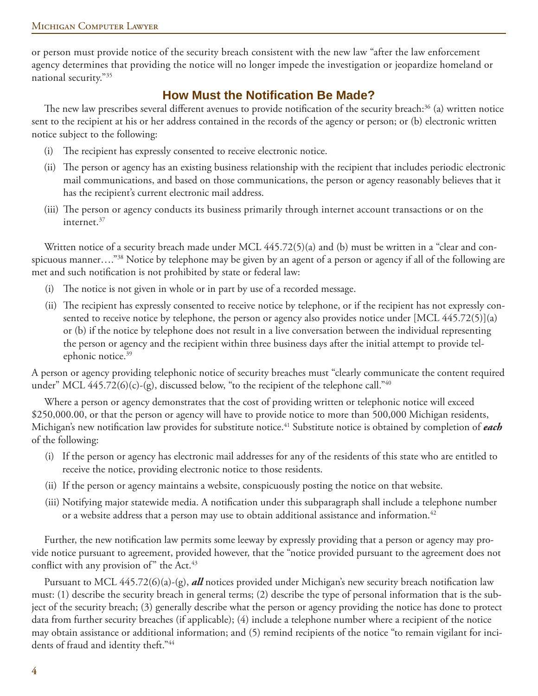or person must provide notice of the security breach consistent with the new law "after the law enforcement agency determines that providing the notice will no longer impede the investigation or jeopardize homeland or national security."35

## **How Must the Notifi cation Be Made?**

The new law prescribes several different avenues to provide notification of the security breach:<sup>36</sup> (a) written notice sent to the recipient at his or her address contained in the records of the agency or person; or (b) electronic written notice subject to the following:

- (i) The recipient has expressly consented to receive electronic notice.
- (ii) The person or agency has an existing business relationship with the recipient that includes periodic electronic mail communications, and based on those communications, the person or agency reasonably believes that it has the recipient's current electronic mail address.
- (iii) The person or agency conducts its business primarily through internet account transactions or on the internet.37

Written notice of a security breach made under MCL 445.72(5)(a) and (b) must be written in a "clear and conspicuous manner…."38 Notice by telephone may be given by an agent of a person or agency if all of the following are met and such notification is not prohibited by state or federal law:

- (i) The notice is not given in whole or in part by use of a recorded message.
- (ii) The recipient has expressly consented to receive notice by telephone, or if the recipient has not expressly consented to receive notice by telephone, the person or agency also provides notice under [MCL 445.72(5)](a) or (b) if the notice by telephone does not result in a live conversation between the individual representing the person or agency and the recipient within three business days after the initial attempt to provide telephonic notice.<sup>39</sup>

A person or agency providing telephonic notice of security breaches must "clearly communicate the content required under" MCL  $445.72(6)(c)$ -(g), discussed below, "to the recipient of the telephone call."<sup>40</sup>

Where a person or agency demonstrates that the cost of providing written or telephonic notice will exceed \$250,000.00, or that the person or agency will have to provide notice to more than 500,000 Michigan residents, Michigan's new notification law provides for substitute notice.<sup>41</sup> Substitute notice is obtained by completion of *each* of the following:

- (i) If the person or agency has electronic mail addresses for any of the residents of this state who are entitled to receive the notice, providing electronic notice to those residents.
- (ii) If the person or agency maintains a website, conspicuously posting the notice on that website.
- (iii) Notifying major statewide media. A notification under this subparagraph shall include a telephone number or a website address that a person may use to obtain additional assistance and information.<sup>42</sup>

Further, the new notification law permits some leeway by expressly providing that a person or agency may provide notice pursuant to agreement, provided however, that the "notice provided pursuant to the agreement does not conflict with any provision of" the Act.<sup>43</sup>

Pursuant to MCL 445.72(6)(a)-(g), *all* notices provided under Michigan's new security breach notification law must: (1) describe the security breach in general terms; (2) describe the type of personal information that is the subject of the security breach; (3) generally describe what the person or agency providing the notice has done to protect data from further security breaches (if applicable); (4) include a telephone number where a recipient of the notice may obtain assistance or additional information; and (5) remind recipients of the notice "to remain vigilant for incidents of fraud and identity theft."<sup>44</sup>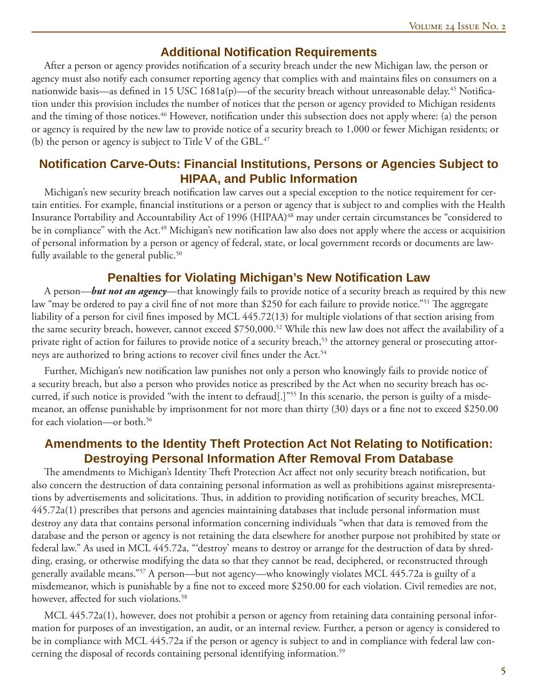#### **Additional Notifi cation Requirements**

After a person or agency provides notification of a security breach under the new Michigan law, the person or agency must also notify each consumer reporting agency that complies with and maintains files on consumers on a nationwide basis—as defined in 15 USC 1681a(p)—of the security breach without unreasonable delay.<sup>45</sup> Notification under this provision includes the number of notices that the person or agency provided to Michigan residents and the timing of those notices.<sup>46</sup> However, notification under this subsection does not apply where: (a) the person or agency is required by the new law to provide notice of a security breach to 1,000 or fewer Michigan residents; or (b) the person or agency is subject to Title V of the GBL. $47$ 

#### **Notifi cation Carve-Outs: Financial Institutions, Persons or Agencies Subject to HIPAA, and Public Information**

Michigan's new security breach notification law carves out a special exception to the notice requirement for certain entities. For example, financial institutions or a person or agency that is subject to and complies with the Health Insurance Portability and Accountability Act of 1996 (HIPAA)<sup>48</sup> may under certain circumstances be "considered to be in compliance" with the Act.<sup>49</sup> Michigan's new notification law also does not apply where the access or acquisition of personal information by a person or agency of federal, state, or local government records or documents are lawfully available to the general public.<sup>50</sup>

#### **Penalties for Violating Michigan's New Notifi cation Law**

A person—*but not an agency*—that knowingly fails to provide notice of a security breach as required by this new law "may be ordered to pay a civil fine of not more than \$250 for each failure to provide notice."<sup>51</sup> The aggregate liability of a person for civil fines imposed by MCL 445.72(13) for multiple violations of that section arising from the same security breach, however, cannot exceed \$750,000.<sup>52</sup> While this new law does not affect the availability of a private right of action for failures to provide notice of a security breach,<sup>53</sup> the attorney general or prosecuting attorneys are authorized to bring actions to recover civil fines under the Act.<sup>54</sup>

Further, Michigan's new notification law punishes not only a person who knowingly fails to provide notice of a security breach, but also a person who provides notice as prescribed by the Act when no security breach has occurred, if such notice is provided "with the intent to defraud[.]"<sup>55</sup> In this scenario, the person is guilty of a misdemeanor, an offense punishable by imprisonment for not more than thirty (30) days or a fine not to exceed \$250.00 for each violation—or both.<sup>56</sup>

#### **Amendments to the Identity Theft Protection Act Not Relating to Notification: Destroying Personal Information After Removal From Database**

The amendments to Michigan's Identity Theft Protection Act affect not only security breach notification, but also concern the destruction of data containing personal information as well as prohibitions against misrepresentations by advertisements and solicitations. Thus, in addition to providing notification of security breaches, MCL 445.72a(1) prescribes that persons and agencies maintaining databases that include personal information must destroy any data that contains personal information concerning individuals "when that data is removed from the database and the person or agency is not retaining the data elsewhere for another purpose not prohibited by state or federal law." As used in MCL 445.72a, "'destroy' means to destroy or arrange for the destruction of data by shredding, erasing, or otherwise modifying the data so that they cannot be read, deciphered, or reconstructed through generally available means."57 A person—but not agency—who knowingly violates MCL 445.72a is guilty of a misdemeanor, which is punishable by a fine not to exceed more \$250.00 for each violation. Civil remedies are not, however, affected for such violations.<sup>58</sup>

MCL 445.72a(1), however, does not prohibit a person or agency from retaining data containing personal information for purposes of an investigation, an audit, or an internal review. Further, a person or agency is considered to be in compliance with MCL 445.72a if the person or agency is subject to and in compliance with federal law concerning the disposal of records containing personal identifying information.<sup>59</sup>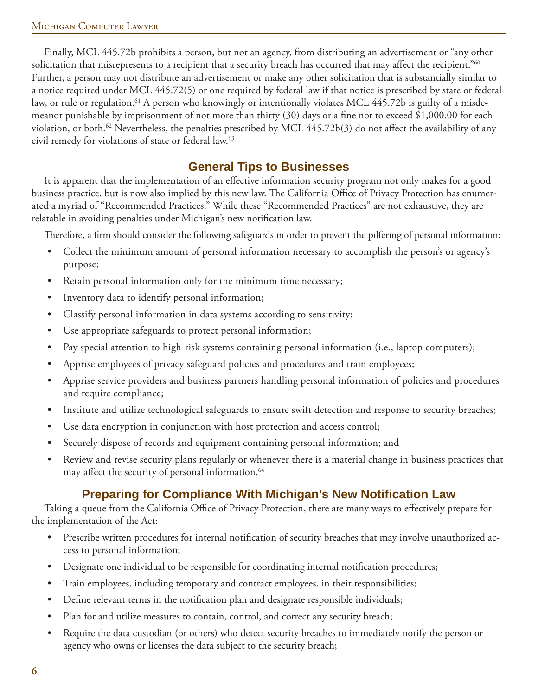#### Michigan Computer Lawyer

Finally, MCL 445.72b prohibits a person, but not an agency, from distributing an advertisement or "any other solicitation that misrepresents to a recipient that a security breach has occurred that may affect the recipient."<sup>60</sup> Further, a person may not distribute an advertisement or make any other solicitation that is substantially similar to a notice required under MCL 445.72(5) or one required by federal law if that notice is prescribed by state or federal law, or rule or regulation.<sup>61</sup> A person who knowingly or intentionally violates MCL 445.72b is guilty of a misdemeanor punishable by imprisonment of not more than thirty  $(30)$  days or a fine not to exceed \$1,000.00 for each violation, or both.<sup>62</sup> Nevertheless, the penalties prescribed by MCL  $445.72b(3)$  do not affect the availability of any civil remedy for violations of state or federal law.63

#### **General Tips to Businesses**

It is apparent that the implementation of an effective information security program not only makes for a good business practice, but is now also implied by this new law. The California Office of Privacy Protection has enumerated a myriad of "Recommended Practices." While these "Recommended Practices" are not exhaustive, they are relatable in avoiding penalties under Michigan's new notification law.

Therefore, a firm should consider the following safeguards in order to prevent the pilfering of personal information:

- Collect the minimum amount of personal information necessary to accomplish the person's or agency's purpose; •
- Retain personal information only for the minimum time necessary; •
- Inventory data to identify personal information; •
- Classify personal information in data systems according to sensitivity; •
- Use appropriate safeguards to protect personal information; •
- Pay special attention to high-risk systems containing personal information (i.e., laptop computers); •
- Apprise employees of privacy safeguard policies and procedures and train employees; •
- Apprise service providers and business partners handling personal information of policies and procedures and require compliance; •
- Institute and utilize technological safeguards to ensure swift detection and response to security breaches; •
- Use data encryption in conjunction with host protection and access control; •
- Securely dispose of records and equipment containing personal information; and •
- Review and revise security plans regularly or whenever there is a material change in business practices that may affect the security of personal information.<sup>64</sup> •

#### **Preparing for Compliance With Michigan's New Notifi cation Law**

Taking a queue from the California Office of Privacy Protection, there are many ways to effectively prepare for the implementation of the Act:

- Prescribe written procedures for internal notification of security breaches that may involve unauthorized access to personal information; •
- Designate one individual to be responsible for coordinating internal notification procedures; •
- Train employees, including temporary and contract employees, in their responsibilities; •
- Define relevant terms in the notification plan and designate responsible individuals; •
- Plan for and utilize measures to contain, control, and correct any security breach; •
- Require the data custodian (or others) who detect security breaches to immediately notify the person or agency who owns or licenses the data subject to the security breach; •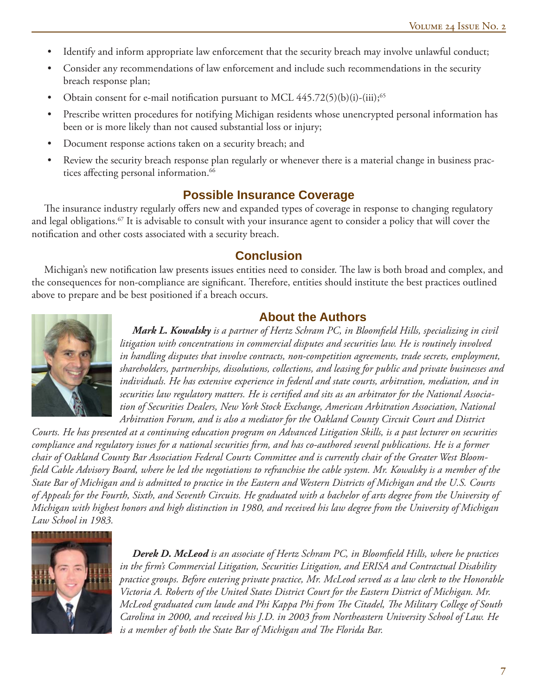- Identify and inform appropriate law enforcement that the security breach may involve unlawful conduct; •
- Consider any recommendations of law enforcement and include such recommendations in the security breach response plan; •
- Obtain consent for e-mail notification pursuant to MCL  $445.72(5)(b)(i)-(iii);^{65}$ •
- Prescribe written procedures for notifying Michigan residents whose unencrypted personal information has been or is more likely than not caused substantial loss or injury; •
- Document response actions taken on a security breach; and •
- Review the security breach response plan regularly or whenever there is a material change in business practices affecting personal information.<sup>66</sup> •

#### **Possible Insurance Coverage**

The insurance industry regularly offers new and expanded types of coverage in response to changing regulatory and legal obligations.<sup>67</sup> It is advisable to consult with your insurance agent to consider a policy that will cover the notification and other costs associated with a security breach.

#### **Conclusion**

Michigan's new notification law presents issues entities need to consider. The law is both broad and complex, and the consequences for non-compliance are significant. Therefore, entities should institute the best practices outlined above to prepare and be best positioned if a breach occurs.

### **About the Authors**



*Mark L. Kowalsky* is a partner of Hertz Schram PC, in Bloomfield Hills, specializing in civil *litigation with concentrations in commercial disputes and securities law. He is routinely involved in handling disputes that involve contracts, non-competition agreements, trade secrets, employment, shareholders, partnerships, dissolutions, collections, and leasing for public and private businesses and individuals. He has extensive experience in federal and state courts, arbitration, mediation, and in*  securities law regulatory matters. He is certified and sits as an arbitrator for the National Associa*tion of Securities Dealers, New York Stock Exchange, American Arbitration Association, National Arbitration Forum, and is also a mediator for the Oakland County Circuit Court and District* 

*Courts. He has presented at a continuing education program on Advanced Litigation Skills, is a past lecturer on securities*  compliance and regulatory issues for a national securities firm, and has co-authored several publications. He is a former *chair of Oakland County Bar Association Federal Courts Committee and is currently chair of the Greater West Bloomfi eld Cable Advisory Board, where he led the negotiations to refranchise the cable system. Mr. Kowalsky is a member of the State Bar of Michigan and is admitted to practice in the Eastern and Western Districts of Michigan and the U.S. Courts of Appeals for the Fourth, Sixth, and Seventh Circuits. He graduated with a bachelor of arts degree from the University of Michigan with highest honors and high distinction in 1980, and received his law degree from the University of Michigan Law School in 1983.*



**Derek D. McLeod** is an associate of Hertz Schram PC, in Bloomfield Hills, where he practices *in the fi rm's Commercial Litigation, Securities Litigation, and ERISA and Contractual Disability practice groups. Before entering private practice, Mr. McLeod served as a law clerk to the Honorable Victoria A. Roberts of the United States District Court for the Eastern District of Michigan. Mr. McLeod graduated cum laude and Phi Kappa Phi from Th e Citadel, Th e Military College of South Carolina in 2000, and received his J.D. in 2003 from Northeastern University School of Law. He*  is a member of both the State Bar of Michigan and The Florida Bar.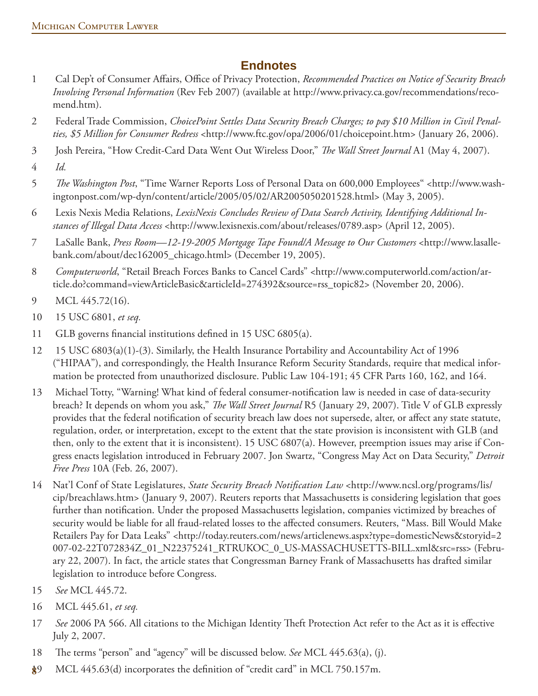## **Endnotes**

- 1 Cal Dep't of Consumer Affairs, Office of Privacy Protection, *Recommended Practices on Notice of Security Breach Involving Personal Information* (Rev Feb 2007) (available at http://www.privacy.ca.gov/recommendations/recomend.htm).
- 2 Federal Trade Commission, *ChoicePoint Settles Data Security Breach Charges; to pay \$10 Million in Civil Penalties, \$5 Million for Consumer Redress* <http://www.ftc.gov/opa/2006/01/choicepoint.htm> (January 26, 2006).
- 3 Josh Pereira, "How Credit-Card Data Went Out Wireless Door," *The Wall Street Journal* A1 (May 4, 2007).
- 4 *Id.*
- 5 The Washington Post, "Time Warner Reports Loss of Personal Data on 600,000 Employees" <http://www.washingtonpost.com/wp-dyn/content/article/2005/05/02/AR2005050201528.html> (May 3, 2005).
- 6 Lexis Nexis Media Relations, *LexisNexis Concludes Review of Data Search Activity, Identifying Additional Instances of Illegal Data Access* <http://www.lexisnexis.com/about/releases/0789.asp> (April 12, 2005).
- 7 LaSalle Bank, *Press Room—12-19-2005 Mortgage Tape Found/A Message to Our Customers* <http://www.lasallebank.com/about/dec162005\_chicago.html> (December 19, 2005).
- 8 *Computerworld*, "Retail Breach Forces Banks to Cancel Cards" <http://www.computerworld.com/action/article.do?command=viewArticleBasic&articleId=274392&source=rss\_topic82> (November 20, 2006).
- 9 MCL 445.72(16).
- 10 15 USC 6801, *et seq.*
- 11 GLB governs financial institutions defined in 15 USC  $6805(a)$ .
- 12 15 USC 6803(a)(1)-(3). Similarly, the Health Insurance Portability and Accountability Act of 1996 ("HIPAA"), and correspondingly, the Health Insurance Reform Security Standards, require that medical information be protected from unauthorized disclosure. Public Law 104-191; 45 CFR Parts 160, 162, and 164.
- 13 Michael Totty, "Warning! What kind of federal consumer-notification law is needed in case of data-security breach? It depends on whom you ask," *The Wall Street Journal* R5 (January 29, 2007). Title V of GLB expressly provides that the federal notification of security breach law does not supersede, alter, or affect any state statute, regulation, order, or interpretation, except to the extent that the state provision is inconsistent with GLB (and then, only to the extent that it is inconsistent). 15 USC 6807(a). However, preemption issues may arise if Congress enacts legislation introduced in February 2007. Jon Swartz, "Congress May Act on Data Security," *Detroit Free Press* 10A (Feb. 26, 2007).
- 14 Nat'l Conf of State Legislatures, *State Security Breach Notification Law* <http://www.ncsl.org/programs/lis/ cip/breachlaws.htm> (January 9, 2007). Reuters reports that Massachusetts is considering legislation that goes further than notification. Under the proposed Massachusetts legislation, companies victimized by breaches of security would be liable for all fraud-related losses to the affected consumers. Reuters, "Mass. Bill Would Make Retailers Pay for Data Leaks" <http://today.reuters.com/news/articlenews.aspx?type=domesticNews&storyid=2 007-02-22T072834Z\_01\_N22375241\_RTRUKOC\_0\_US-MASSACHUSETTS-BILL.xml&src=rss> (February 22, 2007). In fact, the article states that Congressman Barney Frank of Massachusetts has drafted similar legislation to introduce before Congress.
- 15 *See* MCL 445.72.
- 16 MCL 445.61, *et seq.*
- 17 *See* 2006 PA 566. All citations to the Michigan Identity Theft Protection Act refer to the Act as it is effective July 2, 2007.
- 18 The terms "person" and "agency" will be discussed below. *See* MCL 445.63(a), (j).
- MCL 445.63(d) incorporates the definition of "credit card" in MCL 750.157m. **8**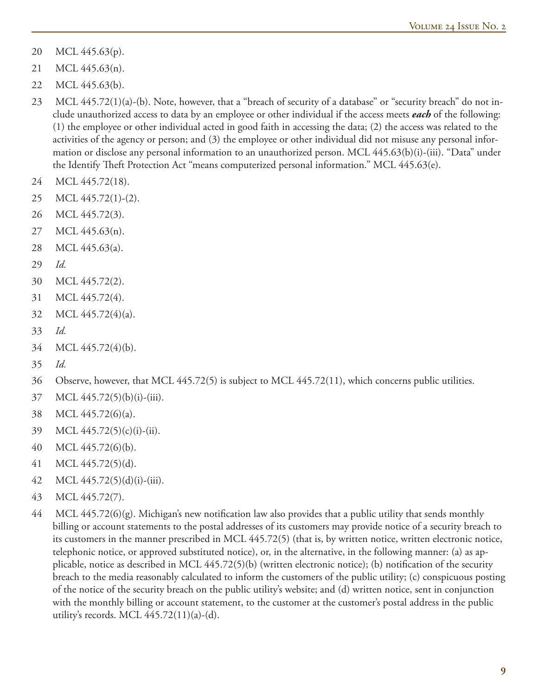- 20 MCL 445.63(p).
- 21 MCL 445.63(n).
- 22 MCL 445.63(b).
- 23 MCL 445.72(1)(a)-(b). Note, however, that a "breach of security of a database" or "security breach" do not include unauthorized access to data by an employee or other individual if the access meets *each* of the following: (1) the employee or other individual acted in good faith in accessing the data; (2) the access was related to the activities of the agency or person; and (3) the employee or other individual did not misuse any personal information or disclose any personal information to an unauthorized person. MCL 445.63(b)(i)-(iii). "Data" under the Identify Theft Protection Act "means computerized personal information." MCL  $445.63(e)$ .
- 24 MCL 445.72(18).
- 25 MCL 445.72(1)-(2).
- 26 MCL 445.72(3).
- 27 MCL 445.63(n).
- 28 MCL 445.63(a).
- 29 *Id.*
- 30 MCL 445.72(2).
- 31 MCL 445.72(4).
- 32 MCL 445.72(4)(a).
- 33 *Id.*
- 34 MCL 445.72(4)(b).
- 35 *Id.*
- 36 Observe, however, that MCL 445.72(5) is subject to MCL 445.72(11), which concerns public utilities.
- 37 MCL 445.72(5)(b)(i)-(iii).
- 38 MCL 445.72(6)(a).
- 39 MCL 445.72(5)(c)(i)-(ii).
- 40 MCL 445.72(6)(b).
- 41 MCL 445.72(5)(d).
- 42 MCL 445.72(5)(d)(i)-(iii).
- 43 MCL 445.72(7).
- $44$  MCL  $445.72(6)(g)$ . Michigan's new notification law also provides that a public utility that sends monthly billing or account statements to the postal addresses of its customers may provide notice of a security breach to its customers in the manner prescribed in MCL 445.72(5) (that is, by written notice, written electronic notice, telephonic notice, or approved substituted notice), or, in the alternative, in the following manner: (a) as applicable, notice as described in MCL  $445.72(5)(b)$  (written electronic notice); (b) notification of the security breach to the media reasonably calculated to inform the customers of the public utility; (c) conspicuous posting of the notice of the security breach on the public utility's website; and (d) written notice, sent in conjunction with the monthly billing or account statement, to the customer at the customer's postal address in the public utility's records. MCL  $445.72(11)(a)-(d)$ .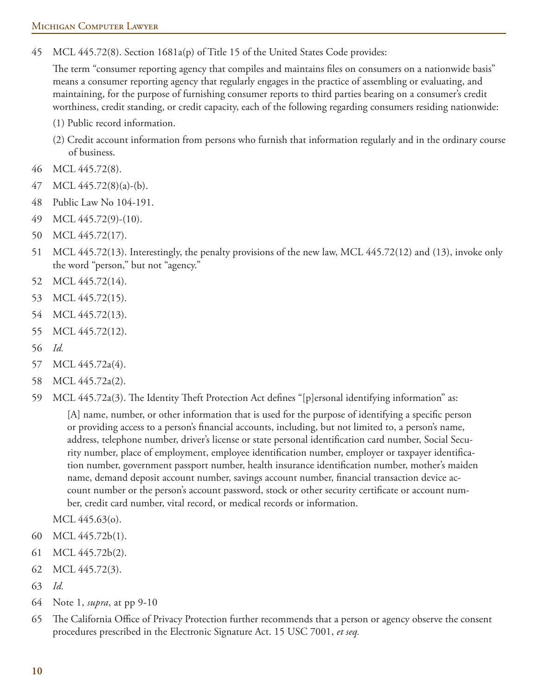45 MCL 445.72(8). Section 1681a(p) of Title 15 of the United States Code provides:

The term "consumer reporting agency that compiles and maintains files on consumers on a nationwide basis" means a consumer reporting agency that regularly engages in the practice of assembling or evaluating, and maintaining, for the purpose of furnishing consumer reports to third parties bearing on a consumer's credit worthiness, credit standing, or credit capacity, each of the following regarding consumers residing nationwide:

- (1) Public record information.
- (2) Credit account information from persons who furnish that information regularly and in the ordinary course of business.
- 46 MCL 445.72(8).
- 47 MCL 445.72(8)(a)-(b).
- 48 Public Law No 104-191.
- 49 MCL 445.72(9)-(10).
- 50 MCL 445.72(17).
- 51 MCL 445.72(13). Interestingly, the penalty provisions of the new law, MCL 445.72(12) and (13), invoke only the word "person," but not "agency."
- 52 MCL 445.72(14).
- 53 MCL 445.72(15).
- 54 MCL 445.72(13).
- 55 MCL 445.72(12).
- 56 *Id.*
- 57 MCL 445.72a(4).
- 58 MCL 445.72a(2).
- 59 MCL 445.72a(3). The Identity Theft Protection Act defines "[p]ersonal identifying information" as:

[A] name, number, or other information that is used for the purpose of identifying a specific person or providing access to a person's financial accounts, including, but not limited to, a person's name, address, telephone number, driver's license or state personal identification card number, Social Security number, place of employment, employee identification number, employer or taxpayer identification number, government passport number, health insurance identification number, mother's maiden name, demand deposit account number, savings account number, financial transaction device account number or the person's account password, stock or other security certificate or account number, credit card number, vital record, or medical records or information.

MCL 445.63(o).

- 60 MCL 445.72b(1).
- 61 MCL 445.72b(2).
- 62 MCL 445.72(3).
- 63 *Id.*
- 64 Note 1, *supra*, at pp 9-10
- 65 The California Office of Privacy Protection further recommends that a person or agency observe the consent procedures prescribed in the Electronic Signature Act. 15 USC 7001, *et seq.*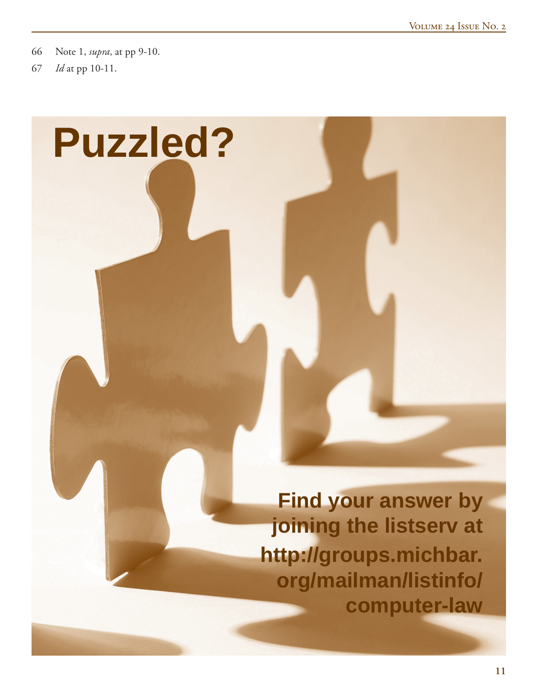66 Note 1, *supra*, at pp 9-10.

67 *Id* at pp 10-11.

# **Puzzled?**

**Find your answer by joining the listserv at http://groups.michbar. org/mailman/listinfo/ computer-law**